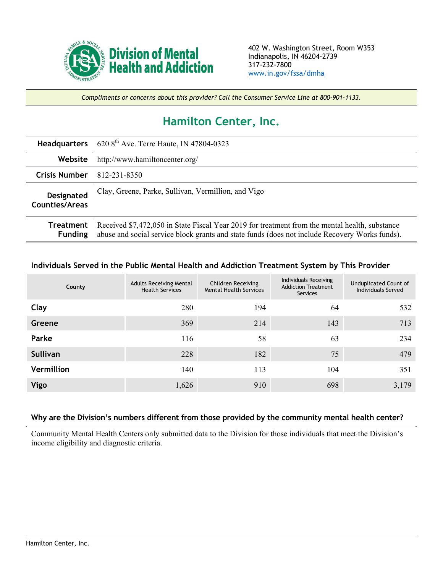

*Compliments or concerns about this provider? Call the Consumer Service Line at 800-901-1133.*

## **Hamilton Center, Inc.**

|                              | <b>Headquarters</b> 620 $8th$ Ave. Terre Haute, IN 47804-0323                                                                                                                                    |
|------------------------------|--------------------------------------------------------------------------------------------------------------------------------------------------------------------------------------------------|
| Website                      | http://www.hamiltoncenter.org/                                                                                                                                                                   |
| <b>Crisis Number</b>         | 812-231-8350                                                                                                                                                                                     |
| Designated<br>Counties/Areas | Clay, Greene, Parke, Sullivan, Vermillion, and Vigo                                                                                                                                              |
| Treatment<br><b>Funding</b>  | Received \$7,472,050 in State Fiscal Year 2019 for treatment from the mental health, substance<br>abuse and social service block grants and state funds (does not include Recovery Works funds). |

## **Individuals Served in the Public Mental Health and Addiction Treatment System by This Provider**

| County            | <b>Adults Receiving Mental</b><br><b>Health Services</b> | Children Receiving<br><b>Mental Health Services</b> | Individuals Receiving<br><b>Addiction Treatment</b><br><b>Services</b> | Unduplicated Count of<br><b>Individuals Served</b> |
|-------------------|----------------------------------------------------------|-----------------------------------------------------|------------------------------------------------------------------------|----------------------------------------------------|
| Clay              | 280                                                      | 194                                                 | 64                                                                     | 532                                                |
| Greene            | 369                                                      | 214                                                 | 143                                                                    | 713                                                |
| Parke             | 116                                                      | 58                                                  | 63                                                                     | 234                                                |
| Sullivan          | 228                                                      | 182                                                 | 75                                                                     | 479                                                |
| <b>Vermillion</b> | 140                                                      | 113                                                 | 104                                                                    | 351                                                |
| Vigo              | 1,626                                                    | 910                                                 | 698                                                                    | 3,179                                              |

## **Why are the Division's numbers different from those provided by the community mental health center?**

Community Mental Health Centers only submitted data to the Division for those individuals that meet the Division's income eligibility and diagnostic criteria.